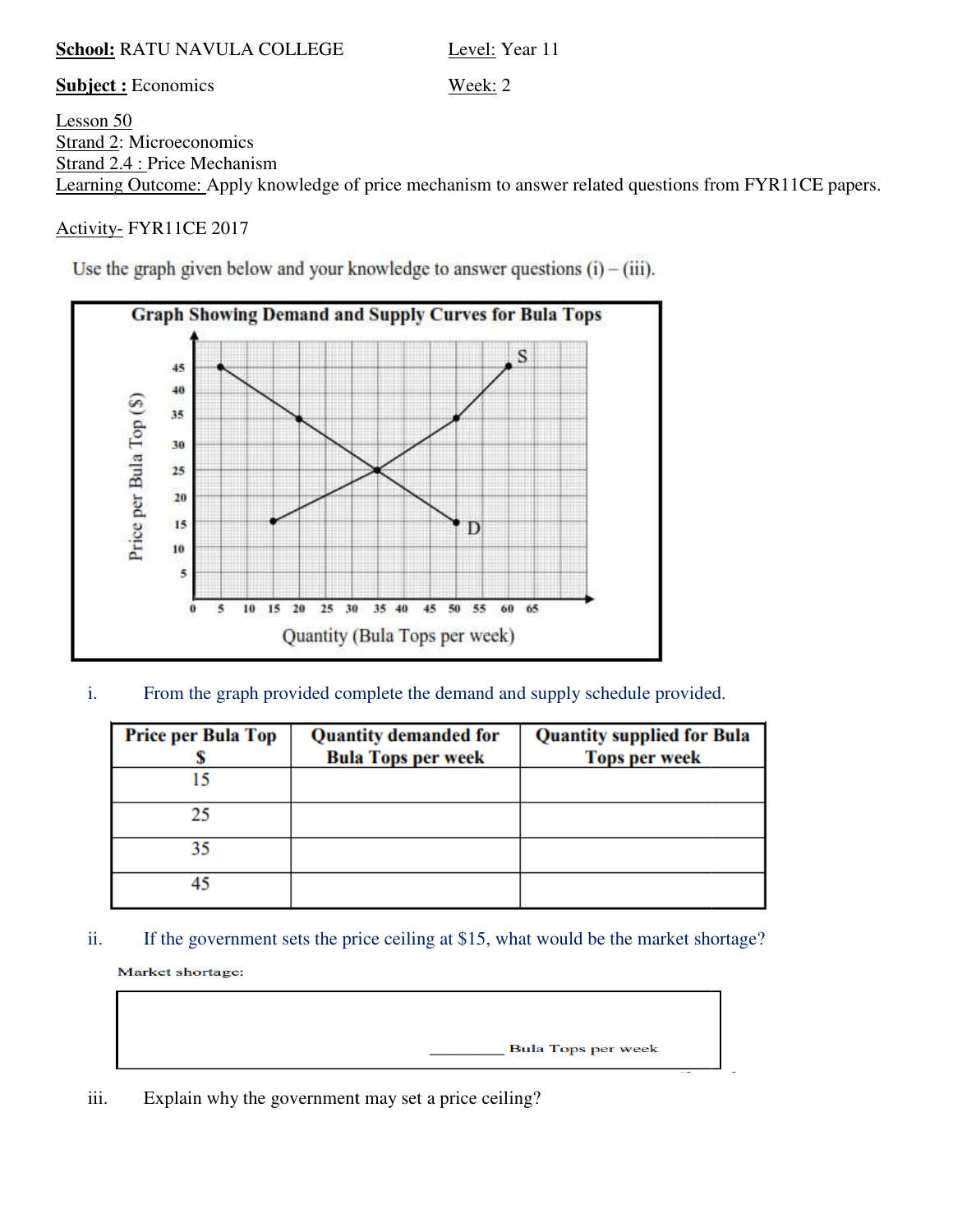#### **School:** RATU NAVULA COLLEGE

Level: Year 11

**Subject :** Economics

Lesson 50 Strand 2: Microeconomics Strand 2.4 : Price Mechanism Learning Outcome: Apply knowledge of price mechanism to answer related questions from FYR11CE papers.

Week: 2

# Activity- FYR11CE 2017

Use the graph given below and your knowledge to answer questions  $(i) - (iii)$ .



i. From the graph provided complete the demand and supply schedule provided.

| <b>Price per Bula Top</b> | <b>Quantity demanded for</b> | <b>Quantity supplied for Bula</b>                                                    |
|---------------------------|------------------------------|--------------------------------------------------------------------------------------|
|                           | <b>Bula Tops per week</b>    | <b>Tops per week</b>                                                                 |
| 15                        |                              |                                                                                      |
| 25                        |                              |                                                                                      |
| 35                        |                              |                                                                                      |
| 45                        |                              |                                                                                      |
| Market shortage:          |                              | If the government sets the price ceiling at \$15, what would be the market shortage? |
|                           |                              | <b>Bula Tops per week</b>                                                            |

iii. Explain why the government may set a price ceiling?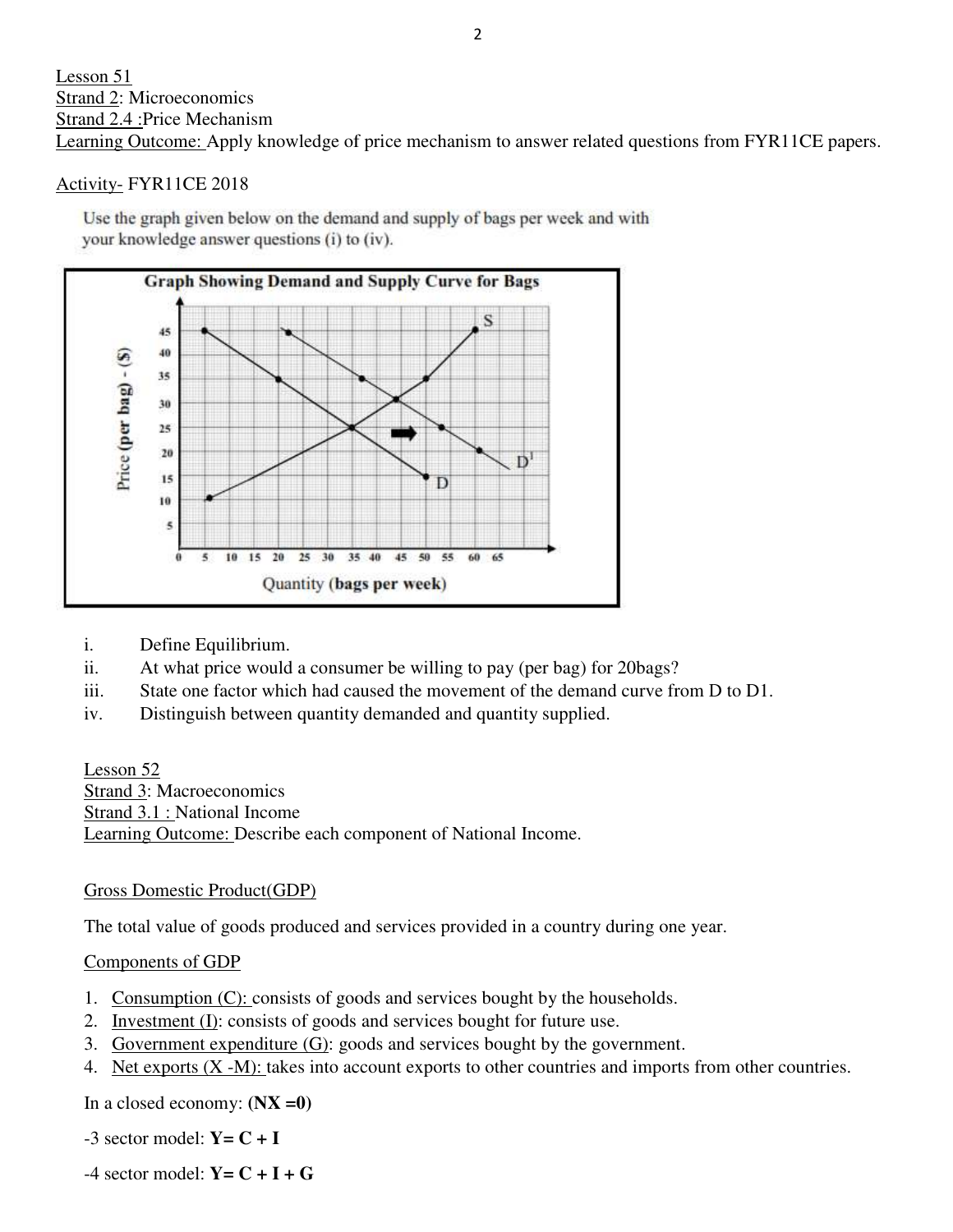## Activity- FYR11CE 2018

Use the graph given below on the demand and supply of bags per week and with your knowledge answer questions (i) to (iv).



- i. Define Equilibrium.
- ii. At what price would a consumer be willing to pay (per bag) for 20bags?
- ii. At what price would a consumer be willing to pay (per bag) for 20 bags?<br>iii. State one factor which had caused the movement of the demand curve from D to D1.
- iv. Distinguish between quantity demanded and quantity supplied quantity supplied.

Lesson 52 Strand 3: Macroeconomics Strand 3.1 : National Income Learning Outcome: Describe each component of National Income. Factor which had caused the movement of the demand curve from<br>
the between quantity demanded and quantity supplied.<br>
Exercise experiments.<br>
Incomes.<br>
<u>Exercible</u> exercise exercises provided in a country during one ye<br>
<u>DP</u>

## Gross Domestic Product(GDP)

Learning Outcome: Describe each component of National Income.<br>
Gross Domestic Product(GDP)<br>
The total value of goods produced and services provided in a country during one year.

## Components of GDP

- 1. Consumption (C): consists of goods and services bought by the households.
- 2. Investment (I): consists of goods and services bought for future use.
- 3. Government expenditure (G): goods and services bought by the government.
- 4. Net exports  $(X M)$ : takes into account exports to other countries and imports from other countries.

In a closed economy: **(NX =0)**

 $-3$  sector model:  $Y = C + I$ 

 $-4$  sector model:  $Y = C + I + G$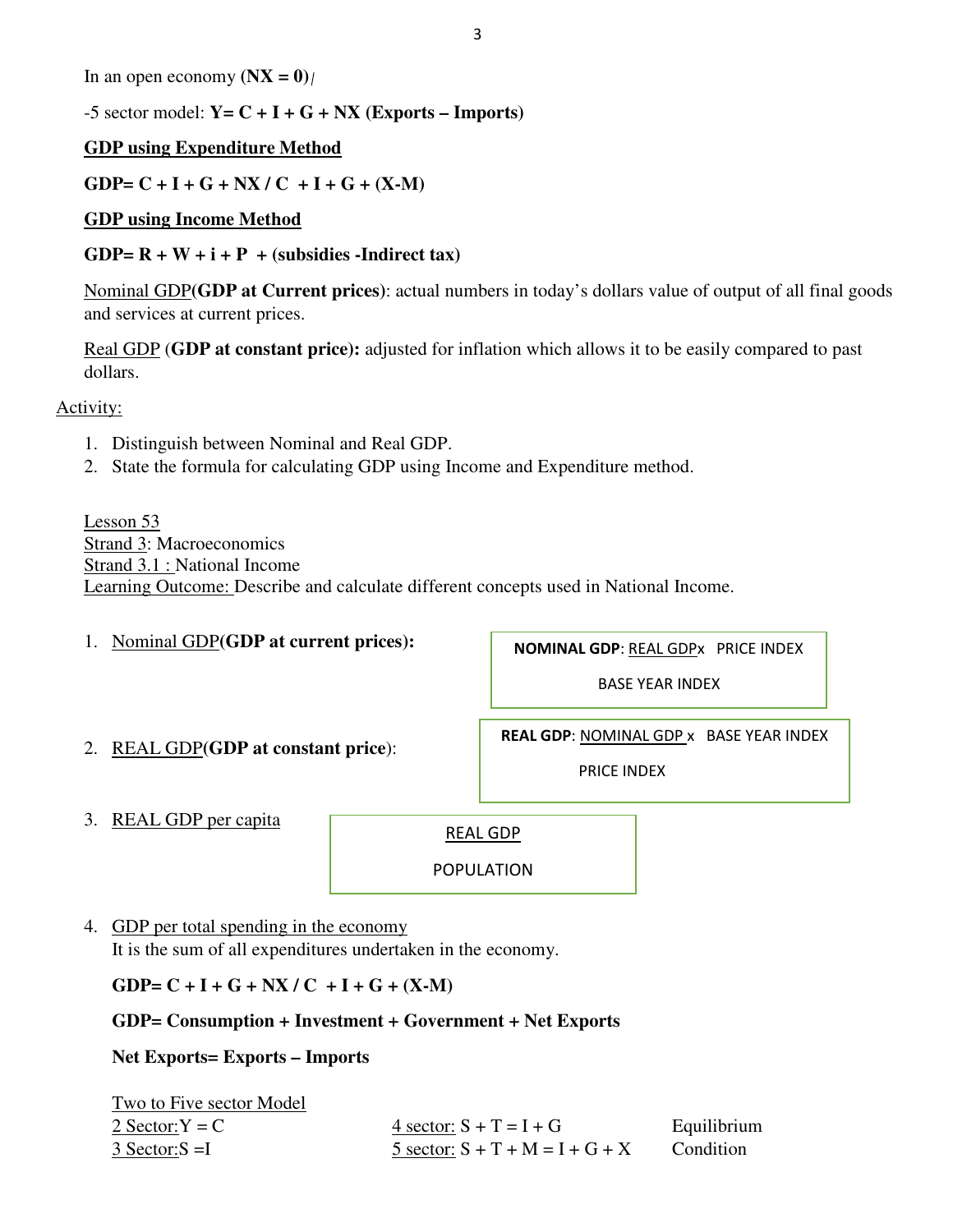In an open economy  $(NX = 0)$ 

 $-5$  sector model:  $Y = C + I + G + NX$  (Exports – Imports)

## **GDP using Expenditure Method**

GDP=  $C + I + G +NX / C + I + G + (X-M)$ 

#### **GDP using Income Method**

## GDP= $R + W + i + P +$  (subsidies -Indirect tax)

Nominal GDP**(GDP at Current prices)**: actual numbers in today's dollars value of output of all final goods and services at current prices.

Real GDP (**GDP at constant price):** adjusted for inflation which allows it to be easily compared to past dollars.

Activity:

- 1. Distinguish between Nominal and Real GDP.
- 2. State the formula for calculating GDP using Income and Expenditure method.

Lesson 53 Strand 3: Macroeconomics Strand 3.1 : National Income Learning Outcome: Describe and calculate different concepts used in National Income.

1. Nominal GDP**(GDP at current prices):**

**NOMINAL GDP**: REAL GDPx PRICE INDEX

BASE YEAR INDEX

2. REAL GDP**(GDP at constant price**):

**REAL GDP**: NOMINAL GDP x BASE YEAR INDEX

PRICE INDEX

3. REAL GDP per capita

REAL GDP

POPULATION

4. GDP per total spending in the economy

It is the sum of all expenditures undertaken in the economy.

 $GDP = C + I + G + NX / C + I + G + (X-M)$ 

## **GDP= Consumption + Investment + Government + Net Exports**

**Net Exports= Exports – Imports** 

| Two to Five sector Model |                                   |             |
|--------------------------|-----------------------------------|-------------|
| 2 Sector: $Y = C$        | 4 sector: $S + T = I + G$         | Equilibrium |
| $3$ Sector: $S = I$      | 5 sector: $S + T + M = I + G + X$ | Condition   |